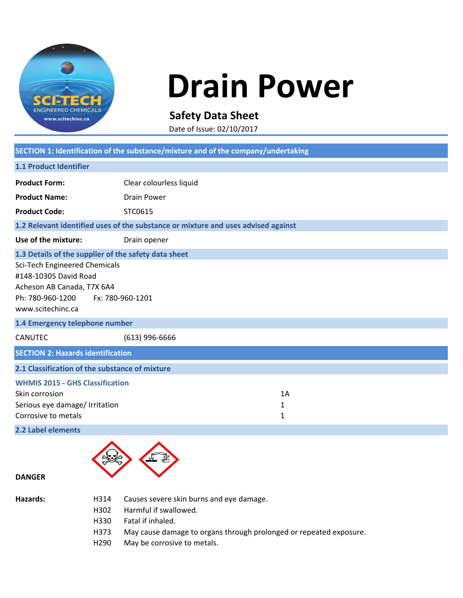

## **Drain Power**

**Safety Data Sheet**

Date of Issue: 02/10/2017

| SECTION 1: Identification of the substance/mixture and of the company/undertaking                                                                                                                                                                             |                                                                                   |                         |  |
|---------------------------------------------------------------------------------------------------------------------------------------------------------------------------------------------------------------------------------------------------------------|-----------------------------------------------------------------------------------|-------------------------|--|
| 1.1 Product Identifier                                                                                                                                                                                                                                        |                                                                                   |                         |  |
| <b>Product Form:</b>                                                                                                                                                                                                                                          | Clear colourless liquid                                                           |                         |  |
| <b>Product Name:</b>                                                                                                                                                                                                                                          | <b>Drain Power</b>                                                                |                         |  |
| <b>Product Code:</b>                                                                                                                                                                                                                                          | STC0615                                                                           |                         |  |
|                                                                                                                                                                                                                                                               | 1.2 Relevant identified uses of the substance or mixture and uses advised against |                         |  |
| Use of the mixture:                                                                                                                                                                                                                                           | Drain opener                                                                      |                         |  |
| 1.3 Details of the supplier of the safety data sheet<br>Sci-Tech Engineered Chemicals<br>#148-10305 David Road<br>Acheson AB Canada, T7X 6A4<br>Ph: 780-960-1200<br>Fx: 780-960-1201<br>www.scitechinc.ca<br>1.4 Emergency telephone number<br><b>CANUTEC</b> |                                                                                   |                         |  |
| <b>SECTION 2: Hazards identification</b>                                                                                                                                                                                                                      | $(613)$ 996-6666                                                                  |                         |  |
| 2.1 Classification of the substance of mixture<br><b>WHMIS 2015 - GHS Classification</b>                                                                                                                                                                      |                                                                                   |                         |  |
| Skin corrosion<br>Serious eye damage/ Irritation<br>Corrosive to metals<br>2.2 Label elements                                                                                                                                                                 |                                                                                   | 1A<br>$\mathbf{1}$<br>1 |  |
|                                                                                                                                                                                                                                                               |                                                                                   |                         |  |



## **DANGER**

| Hazards: |  |
|----------|--|
|----------|--|

- H314 Causes severe skin burns and eye damage.
- H302 Harmful if swallowed.
- H330 Fatal if inhaled.
- H373 May cause damage to organs through prolonged or repeated exposure.
- H290 May be corrosive to metals.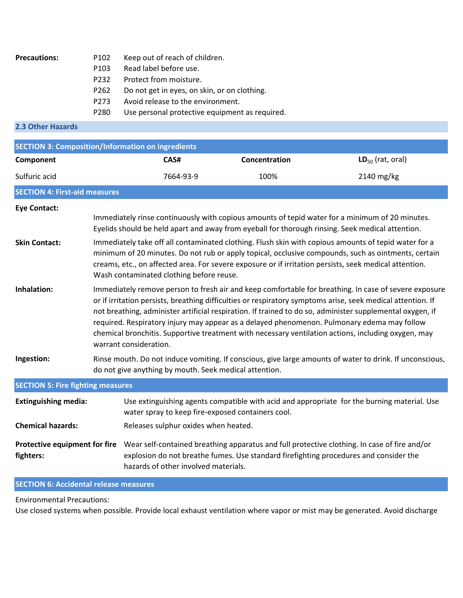| <b>Precautions:</b> | P <sub>102</sub> | Keep out of reach of children.                 |
|---------------------|------------------|------------------------------------------------|
|                     | P <sub>103</sub> | Read label before use.                         |
|                     | P <sub>232</sub> | Protect from moisture.                         |
|                     | P262             | Do not get in eyes, on skin, or on clothing.   |
|                     | P <sub>273</sub> | Avoid release to the environment.              |
|                     | P <sub>280</sub> | Use personal protective equipment as required. |
| 2.3 Other Hazards   |                  |                                                |
|                     |                  |                                                |

| <b>SECTION 3: Composition/Information on ingredients</b> |                                                                                                                                                                                                                                                                                                                                                                                                                                                                                                                                                                   |                                                                                                                                                                    |               |                                                                                                                                                                                                                     |
|----------------------------------------------------------|-------------------------------------------------------------------------------------------------------------------------------------------------------------------------------------------------------------------------------------------------------------------------------------------------------------------------------------------------------------------------------------------------------------------------------------------------------------------------------------------------------------------------------------------------------------------|--------------------------------------------------------------------------------------------------------------------------------------------------------------------|---------------|---------------------------------------------------------------------------------------------------------------------------------------------------------------------------------------------------------------------|
| Component                                                |                                                                                                                                                                                                                                                                                                                                                                                                                                                                                                                                                                   | CAS#                                                                                                                                                               | Concentration | $LD_{50}$ (rat, oral)                                                                                                                                                                                               |
| Sulfuric acid                                            |                                                                                                                                                                                                                                                                                                                                                                                                                                                                                                                                                                   | 7664-93-9                                                                                                                                                          | 100%          | 2140 mg/kg                                                                                                                                                                                                          |
| <b>SECTION 4: First-aid measures</b>                     |                                                                                                                                                                                                                                                                                                                                                                                                                                                                                                                                                                   |                                                                                                                                                                    |               |                                                                                                                                                                                                                     |
| <b>Eye Contact:</b>                                      |                                                                                                                                                                                                                                                                                                                                                                                                                                                                                                                                                                   |                                                                                                                                                                    |               |                                                                                                                                                                                                                     |
|                                                          |                                                                                                                                                                                                                                                                                                                                                                                                                                                                                                                                                                   |                                                                                                                                                                    |               | Immediately rinse continuously with copious amounts of tepid water for a minimum of 20 minutes.<br>Eyelids should be held apart and away from eyeball for thorough rinsing. Seek medical attention.                 |
| <b>Skin Contact:</b>                                     | Immediately take off all contaminated clothing. Flush skin with copious amounts of tepid water for a<br>minimum of 20 minutes. Do not rub or apply topical, occlusive compounds, such as ointments, certain<br>creams, etc., on affected area. For severe exposure or if irritation persists, seek medical attention.<br>Wash contaminated clothing before reuse.                                                                                                                                                                                                 |                                                                                                                                                                    |               |                                                                                                                                                                                                                     |
| Inhalation:                                              | Immediately remove person to fresh air and keep comfortable for breathing. In case of severe exposure<br>or if irritation persists, breathing difficulties or respiratory symptoms arise, seek medical attention. If<br>not breathing, administer artificial respiration. If trained to do so, administer supplemental oxygen, if<br>required. Respiratory injury may appear as a delayed phenomenon. Pulmonary edema may follow<br>chemical bronchitis. Supportive treatment with necessary ventilation actions, including oxygen, may<br>warrant consideration. |                                                                                                                                                                    |               |                                                                                                                                                                                                                     |
| Ingestion:                                               |                                                                                                                                                                                                                                                                                                                                                                                                                                                                                                                                                                   | Rinse mouth. Do not induce vomiting. If conscious, give large amounts of water to drink. If unconscious,<br>do not give anything by mouth. Seek medical attention. |               |                                                                                                                                                                                                                     |
| <b>SECTION 5: Fire fighting measures</b>                 |                                                                                                                                                                                                                                                                                                                                                                                                                                                                                                                                                                   |                                                                                                                                                                    |               |                                                                                                                                                                                                                     |
| <b>Extinguishing media:</b>                              | Use extinguishing agents compatible with acid and appropriate for the burning material. Use<br>water spray to keep fire-exposed containers cool.                                                                                                                                                                                                                                                                                                                                                                                                                  |                                                                                                                                                                    |               |                                                                                                                                                                                                                     |
| <b>Chemical hazards:</b>                                 |                                                                                                                                                                                                                                                                                                                                                                                                                                                                                                                                                                   | Releases sulphur oxides when heated.                                                                                                                               |               |                                                                                                                                                                                                                     |
| fighters:                                                |                                                                                                                                                                                                                                                                                                                                                                                                                                                                                                                                                                   | hazards of other involved materials.                                                                                                                               |               | Protective equipment for fire Wear self-contained breathing apparatus and full protective clothing. In case of fire and/or<br>explosion do not breathe fumes. Use standard firefighting procedures and consider the |

**SECTION 6: Accidental release measures**

Environmental Precautions:

Use closed systems when possible. Provide local exhaust ventilation where vapor or mist may be generated. Avoid discharge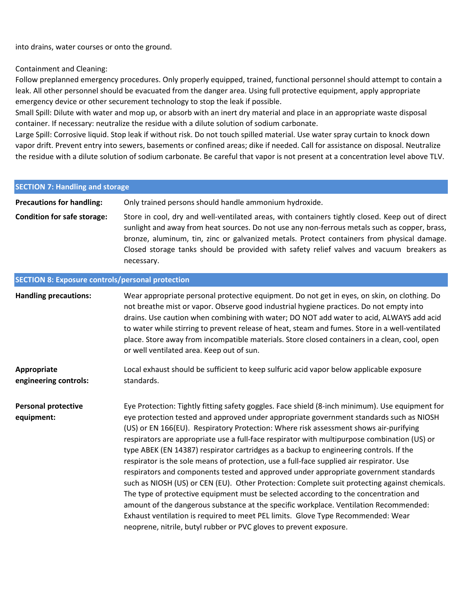into drains, water courses or onto the ground.

## Containment and Cleaning:

Follow preplanned emergency procedures. Only properly equipped, trained, functional personnel should attempt to contain a leak. All other personnel should be evacuated from the danger area. Using full protective equipment, apply appropriate emergency device or other securement technology to stop the leak if possible.

Small Spill: Dilute with water and mop up, or absorb with an inert dry material and place in an appropriate waste disposal container. If necessary: neutralize the residue with a dilute solution of sodium carbonate.

Large Spill: Corrosive liquid. Stop leak if without risk. Do not touch spilled material. Use water spray curtain to knock down vapor drift. Prevent entry into sewers, basements or confined areas; dike if needed. Call for assistance on disposal. Neutralize the residue with a dilute solution of sodium carbonate. Be careful that vapor is not present at a concentration level above TLV.

| <b>SECTION 7: Handling and storage</b>                  |                                                                                                                                                                                                                                                                                                                                                                                                                                                                                                                                                                                                                                                                                                                                                                                                                                                                                                                                                                                                                                                                                                                |  |
|---------------------------------------------------------|----------------------------------------------------------------------------------------------------------------------------------------------------------------------------------------------------------------------------------------------------------------------------------------------------------------------------------------------------------------------------------------------------------------------------------------------------------------------------------------------------------------------------------------------------------------------------------------------------------------------------------------------------------------------------------------------------------------------------------------------------------------------------------------------------------------------------------------------------------------------------------------------------------------------------------------------------------------------------------------------------------------------------------------------------------------------------------------------------------------|--|
| <b>Precautions for handling:</b>                        | Only trained persons should handle ammonium hydroxide.                                                                                                                                                                                                                                                                                                                                                                                                                                                                                                                                                                                                                                                                                                                                                                                                                                                                                                                                                                                                                                                         |  |
| <b>Condition for safe storage:</b>                      | Store in cool, dry and well-ventilated areas, with containers tightly closed. Keep out of direct<br>sunlight and away from heat sources. Do not use any non-ferrous metals such as copper, brass,<br>bronze, aluminum, tin, zinc or galvanized metals. Protect containers from physical damage.<br>Closed storage tanks should be provided with safety relief valves and vacuum breakers as<br>necessary.                                                                                                                                                                                                                                                                                                                                                                                                                                                                                                                                                                                                                                                                                                      |  |
| <b>SECTION 8: Exposure controls/personal protection</b> |                                                                                                                                                                                                                                                                                                                                                                                                                                                                                                                                                                                                                                                                                                                                                                                                                                                                                                                                                                                                                                                                                                                |  |
| <b>Handling precautions:</b>                            | Wear appropriate personal protective equipment. Do not get in eyes, on skin, on clothing. Do<br>not breathe mist or vapor. Observe good industrial hygiene practices. Do not empty into<br>drains. Use caution when combining with water; DO NOT add water to acid, ALWAYS add acid<br>to water while stirring to prevent release of heat, steam and fumes. Store in a well-ventilated<br>place. Store away from incompatible materials. Store closed containers in a clean, cool, open<br>or well ventilated area. Keep out of sun.                                                                                                                                                                                                                                                                                                                                                                                                                                                                                                                                                                           |  |
| Appropriate<br>engineering controls:                    | Local exhaust should be sufficient to keep sulfuric acid vapor below applicable exposure<br>standards.                                                                                                                                                                                                                                                                                                                                                                                                                                                                                                                                                                                                                                                                                                                                                                                                                                                                                                                                                                                                         |  |
| <b>Personal protective</b><br>equipment:                | Eye Protection: Tightly fitting safety goggles. Face shield (8-inch minimum). Use equipment for<br>eye protection tested and approved under appropriate government standards such as NIOSH<br>(US) or EN 166(EU). Respiratory Protection: Where risk assessment shows air-purifying<br>respirators are appropriate use a full-face respirator with multipurpose combination (US) or<br>type ABEK (EN 14387) respirator cartridges as a backup to engineering controls. If the<br>respirator is the sole means of protection, use a full-face supplied air respirator. Use<br>respirators and components tested and approved under appropriate government standards<br>such as NIOSH (US) or CEN (EU). Other Protection: Complete suit protecting against chemicals.<br>The type of protective equipment must be selected according to the concentration and<br>amount of the dangerous substance at the specific workplace. Ventilation Recommended:<br>Exhaust ventilation is required to meet PEL limits. Glove Type Recommended: Wear<br>neoprene, nitrile, butyl rubber or PVC gloves to prevent exposure. |  |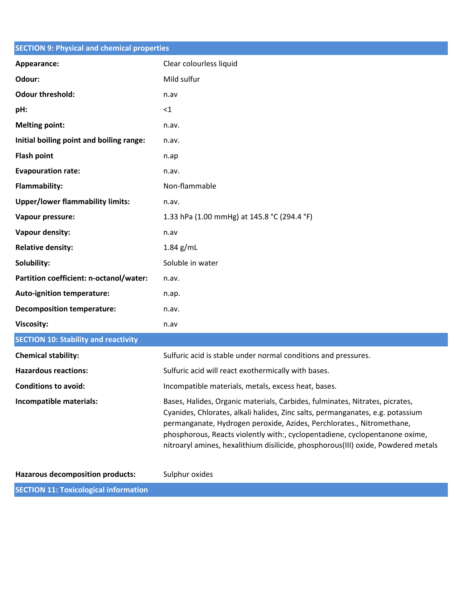| <b>SECTION 9: Physical and chemical properties</b> |                                                                                                                                                                                                                                                                                                                                                                                                             |
|----------------------------------------------------|-------------------------------------------------------------------------------------------------------------------------------------------------------------------------------------------------------------------------------------------------------------------------------------------------------------------------------------------------------------------------------------------------------------|
| Appearance:                                        | Clear colourless liquid                                                                                                                                                                                                                                                                                                                                                                                     |
| Odour:                                             | Mild sulfur                                                                                                                                                                                                                                                                                                                                                                                                 |
| <b>Odour threshold:</b>                            | n.av                                                                                                                                                                                                                                                                                                                                                                                                        |
| pH:                                                | <1                                                                                                                                                                                                                                                                                                                                                                                                          |
| <b>Melting point:</b>                              | n.av.                                                                                                                                                                                                                                                                                                                                                                                                       |
| Initial boiling point and boiling range:           | n.av.                                                                                                                                                                                                                                                                                                                                                                                                       |
| <b>Flash point</b>                                 | n.ap                                                                                                                                                                                                                                                                                                                                                                                                        |
| <b>Evapouration rate:</b>                          | n.av.                                                                                                                                                                                                                                                                                                                                                                                                       |
| <b>Flammability:</b>                               | Non-flammable                                                                                                                                                                                                                                                                                                                                                                                               |
| <b>Upper/lower flammability limits:</b>            | n.av.                                                                                                                                                                                                                                                                                                                                                                                                       |
| Vapour pressure:                                   | 1.33 hPa (1.00 mmHg) at 145.8 °C (294.4 °F)                                                                                                                                                                                                                                                                                                                                                                 |
| Vapour density:                                    | n.av                                                                                                                                                                                                                                                                                                                                                                                                        |
| <b>Relative density:</b>                           | $1.84$ g/mL                                                                                                                                                                                                                                                                                                                                                                                                 |
| Solubility:                                        | Soluble in water                                                                                                                                                                                                                                                                                                                                                                                            |
| Partition coefficient: n-octanol/water:            | n.av.                                                                                                                                                                                                                                                                                                                                                                                                       |
| <b>Auto-ignition temperature:</b>                  | n.ap.                                                                                                                                                                                                                                                                                                                                                                                                       |
| <b>Decomposition temperature:</b>                  | n.av.                                                                                                                                                                                                                                                                                                                                                                                                       |
| <b>Viscosity:</b>                                  | n.av                                                                                                                                                                                                                                                                                                                                                                                                        |
| <b>SECTION 10: Stability and reactivity</b>        |                                                                                                                                                                                                                                                                                                                                                                                                             |
| <b>Chemical stability:</b>                         | Sulfuric acid is stable under normal conditions and pressures.                                                                                                                                                                                                                                                                                                                                              |
| <b>Hazardous reactions:</b>                        | Sulfuric acid will react exothermically with bases.                                                                                                                                                                                                                                                                                                                                                         |
| <b>Conditions to avoid:</b>                        | Incompatible materials, metals, excess heat, bases.                                                                                                                                                                                                                                                                                                                                                         |
| Incompatible materials:                            | Bases, Halides, Organic materials, Carbides, fulminates, Nitrates, picrates,<br>Cyanides, Chlorates, alkali halides, Zinc salts, permanganates, e.g. potassium<br>permanganate, Hydrogen peroxide, Azides, Perchlorates., Nitromethane,<br>phosphorous, Reacts violently with:, cyclopentadiene, cyclopentanone oxime,<br>nitroaryl amines, hexalithium disilicide, phosphorous(III) oxide, Powdered metals |
| <b>Hazarous decomposition products:</b>            | Sulphur oxides                                                                                                                                                                                                                                                                                                                                                                                              |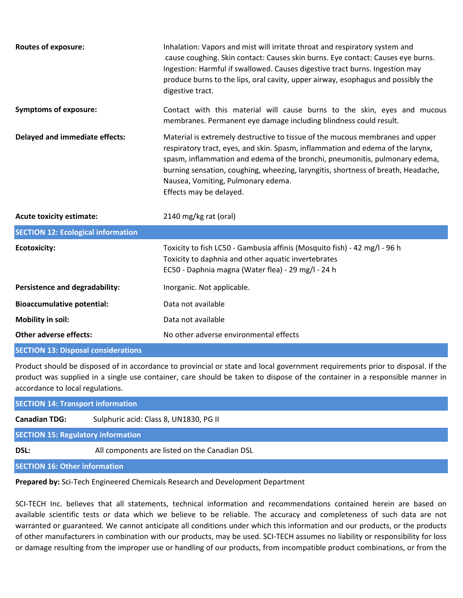| <b>Routes of exposure:</b>                 | Inhalation: Vapors and mist will irritate throat and respiratory system and<br>cause coughing. Skin contact: Causes skin burns. Eye contact: Causes eye burns.<br>Ingestion: Harmful if swallowed. Causes digestive tract burns. Ingestion may<br>produce burns to the lips, oral cavity, upper airway, esophagus and possibly the<br>digestive tract.                                                |
|--------------------------------------------|-------------------------------------------------------------------------------------------------------------------------------------------------------------------------------------------------------------------------------------------------------------------------------------------------------------------------------------------------------------------------------------------------------|
| <b>Symptoms of exposure:</b>               | Contact with this material will cause burns to the skin, eyes and mucous<br>membranes. Permanent eye damage including blindness could result.                                                                                                                                                                                                                                                         |
| <b>Delayed and immediate effects:</b>      | Material is extremely destructive to tissue of the mucous membranes and upper<br>respiratory tract, eyes, and skin. Spasm, inflammation and edema of the larynx,<br>spasm, inflammation and edema of the bronchi, pneumonitis, pulmonary edema,<br>burning sensation, coughing, wheezing, laryngitis, shortness of breath, Headache,<br>Nausea, Vomiting, Pulmonary edema.<br>Effects may be delayed. |
| <b>Acute toxicity estimate:</b>            | 2140 mg/kg rat (oral)                                                                                                                                                                                                                                                                                                                                                                                 |
| <b>SECTION 12: Ecological information</b>  |                                                                                                                                                                                                                                                                                                                                                                                                       |
| <b>Ecotoxicity:</b>                        | Toxicity to fish LC50 - Gambusia affinis (Mosquito fish) - 42 mg/l - 96 h<br>Toxicity to daphnia and other aquatic invertebrates<br>EC50 - Daphnia magna (Water flea) - 29 mg/l - 24 h                                                                                                                                                                                                                |
| Persistence and degradability:             | Inorganic. Not applicable.                                                                                                                                                                                                                                                                                                                                                                            |
| <b>Bioaccumulative potential:</b>          | Data not available                                                                                                                                                                                                                                                                                                                                                                                    |
| Mobility in soil:                          | Data not available                                                                                                                                                                                                                                                                                                                                                                                    |
| <b>Other adverse effects:</b>              | No other adverse environmental effects                                                                                                                                                                                                                                                                                                                                                                |
| <b>SECTION 13: Disposal considerations</b> |                                                                                                                                                                                                                                                                                                                                                                                                       |

Product should be disposed of in accordance to provincial or state and local government requirements prior to disposal. If the product was supplied in a single use container, care should be taken to dispose of the container in a responsible manner in accordance to local regulations.

| <b>SECTION 14: Transport information</b>                       |                                               |  |
|----------------------------------------------------------------|-----------------------------------------------|--|
| Sulphuric acid: Class 8, UN1830, PG II<br><b>Canadian TDG:</b> |                                               |  |
| <b>SECTION 15: Regulatory information</b>                      |                                               |  |
| DSL:                                                           | All components are listed on the Canadian DSL |  |

**SECTION 16: Other information**

**Prepared by:** Sci-Tech Engineered Chemicals Research and Development Department

SCI-TECH Inc. believes that all statements, technical information and recommendations contained herein are based on available scientific tests or data which we believe to be reliable. The accuracy and completeness of such data are not warranted or guaranteed. We cannot anticipate all conditions under which this information and our products, or the products of other manufacturers in combination with our products, may be used. SCI-TECH assumes no liability or responsibility for loss or damage resulting from the improper use or handling of our products, from incompatible product combinations, or from the